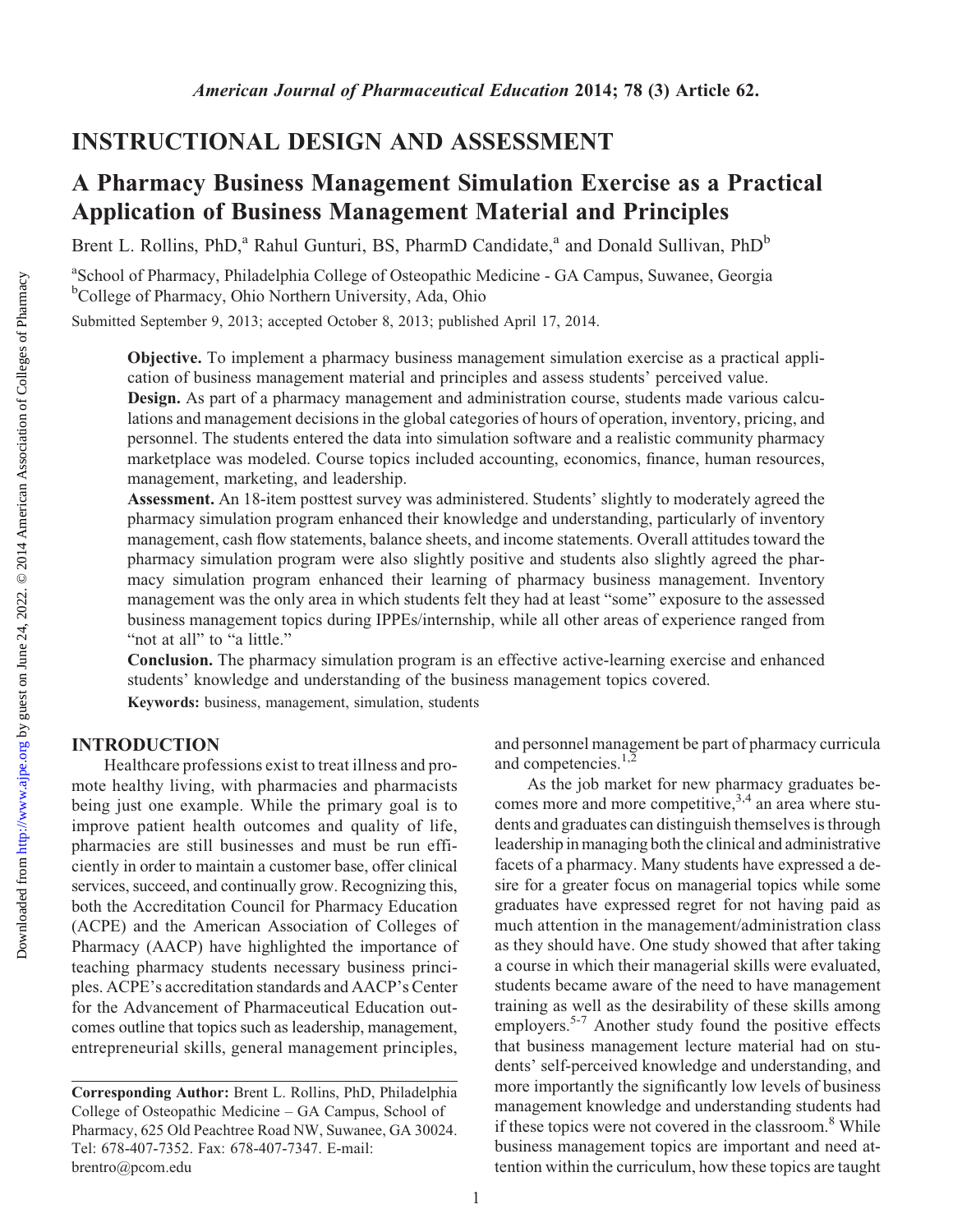## INSTRUCTIONAL DESIGN AND ASSESSMENT

# A Pharmacy Business Management Simulation Exercise as a Practical Application of Business Management Material and Principles

Brent L. Rollins, PhD,<sup>a</sup> Rahul Gunturi, BS, PharmD Candidate,<sup>a</sup> and Donald Sullivan, PhD<sup>b</sup>

<sup>a</sup>School of Pharmacy, Philadelphia College of Osteopathic Medicine - GA Campus, Suwanee, Georgia <sup>b</sup>College of Pharmacy, Ohio Northern University, Ada, Ohio

Submitted September 9, 2013; accepted October 8, 2013; published April 17, 2014.

Objective. To implement a pharmacy business management simulation exercise as a practical application of business management material and principles and assess students' perceived value.

Design. As part of a pharmacy management and administration course, students made various calculations and management decisions in the global categories of hours of operation, inventory, pricing, and personnel. The students entered the data into simulation software and a realistic community pharmacy marketplace was modeled. Course topics included accounting, economics, finance, human resources, management, marketing, and leadership.

Assessment. An 18-item posttest survey was administered. Students' slightly to moderately agreed the pharmacy simulation program enhanced their knowledge and understanding, particularly of inventory management, cash flow statements, balance sheets, and income statements. Overall attitudes toward the pharmacy simulation program were also slightly positive and students also slightly agreed the pharmacy simulation program enhanced their learning of pharmacy business management. Inventory management was the only area in which students felt they had at least "some" exposure to the assessed business management topics during IPPEs/internship, while all other areas of experience ranged from "not at all" to "a little."

Conclusion. The pharmacy simulation program is an effective active-learning exercise and enhanced students' knowledge and understanding of the business management topics covered. Keywords: business, management, simulation, students

## INTRODUCTION

Healthcare professions exist to treat illness and promote healthy living, with pharmacies and pharmacists being just one example. While the primary goal is to improve patient health outcomes and quality of life, pharmacies are still businesses and must be run efficiently in order to maintain a customer base, offer clinical services, succeed, and continually grow. Recognizing this, both the Accreditation Council for Pharmacy Education (ACPE) and the American Association of Colleges of Pharmacy (AACP) have highlighted the importance of teaching pharmacy students necessary business principles. ACPE's accreditation standards and AACP's Center for the Advancement of Pharmaceutical Education outcomes outline that topics such as leadership, management, entrepreneurial skills, general management principles, and personnel management be part of pharmacy curricula and competencies.<sup>1,2</sup>

As the job market for new pharmacy graduates becomes more and more competitive,  $3,4$  an area where students and graduates can distinguish themselves is through leadership in managing boththe clinical and administrative facets of a pharmacy. Many students have expressed a desire for a greater focus on managerial topics while some graduates have expressed regret for not having paid as much attention in the management/administration class as they should have. One study showed that after taking a course in which their managerial skills were evaluated, students became aware of the need to have management training as well as the desirability of these skills among employers.<sup>5-7</sup> Another study found the positive effects that business management lecture material had on students' self-perceived knowledge and understanding, and more importantly the significantly low levels of business management knowledge and understanding students had if these topics were not covered in the classroom.<sup>8</sup> While business management topics are important and need attention within the curriculum, how these topics are taught

Corresponding Author: Brent L. Rollins, PhD, Philadelphia College of Osteopathic Medicine – GA Campus, School of Pharmacy, 625 Old Peachtree Road NW, Suwanee, GA 30024. Tel: 678-407-7352. Fax: 678-407-7347. E-mail: brentro@pcom.edu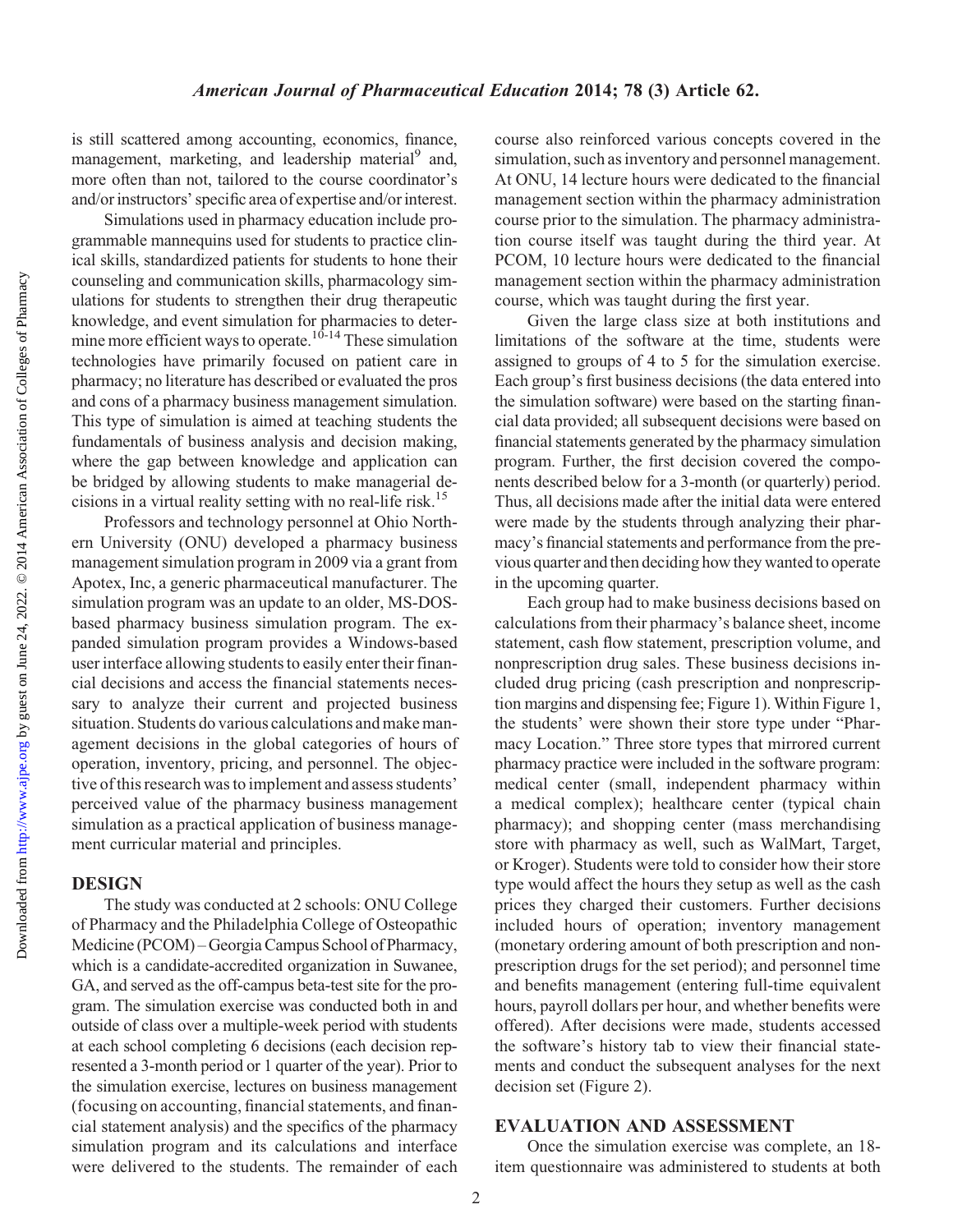is still scattered among accounting, economics, finance, management, marketing, and leadership material<sup>9</sup> and, more often than not, tailored to the course coordinator's and/or instructors' specific area of expertise and/or interest.

Simulations used in pharmacy education include programmable mannequins used for students to practice clinical skills, standardized patients for students to hone their counseling and communication skills, pharmacology simulations for students to strengthen their drug therapeutic knowledge, and event simulation for pharmacies to determine more efficient ways to operate.<sup>10-14</sup> These simulation technologies have primarily focused on patient care in pharmacy; no literature has described or evaluated the pros and cons of a pharmacy business management simulation. This type of simulation is aimed at teaching students the fundamentals of business analysis and decision making, where the gap between knowledge and application can be bridged by allowing students to make managerial decisions in a virtual reality setting with no real-life risk.15

Professors and technology personnel at Ohio Northern University (ONU) developed a pharmacy business management simulation program in 2009 via a grant from Apotex, Inc, a generic pharmaceutical manufacturer. The simulation program was an update to an older, MS-DOSbased pharmacy business simulation program. The expanded simulation program provides a Windows-based user interface allowing students to easily enter their financial decisions and access the financial statements necessary to analyze their current and projected business situation. Students do various calculations and make management decisions in the global categories of hours of operation, inventory, pricing, and personnel. The objective of this research was to implement and assess students' perceived value of the pharmacy business management simulation as a practical application of business management curricular material and principles.

#### DESIGN

The study was conducted at 2 schools: ONU College of Pharmacy and the Philadelphia College of Osteopathic Medicine (PCOM) – Georgia Campus School of Pharmacy, which is a candidate-accredited organization in Suwanee, GA, and served as the off-campus beta-test site for the program. The simulation exercise was conducted both in and outside of class over a multiple-week period with students at each school completing 6 decisions (each decision represented a 3-month period or 1 quarter of the year). Prior to the simulation exercise, lectures on business management (focusing on accounting, financial statements, and financial statement analysis) and the specifics of the pharmacy simulation program and its calculations and interface were delivered to the students. The remainder of each course also reinforced various concepts covered in the simulation, such as inventory and personnel management. At ONU, 14 lecture hours were dedicated to the financial management section within the pharmacy administration course prior to the simulation. The pharmacy administration course itself was taught during the third year. At PCOM, 10 lecture hours were dedicated to the financial management section within the pharmacy administration course, which was taught during the first year.

Given the large class size at both institutions and limitations of the software at the time, students were assigned to groups of 4 to 5 for the simulation exercise. Each group's first business decisions (the data entered into the simulation software) were based on the starting financial data provided; all subsequent decisions were based on financial statements generated by the pharmacy simulation program. Further, the first decision covered the components described below for a 3-month (or quarterly) period. Thus, all decisions made after the initial data were entered were made by the students through analyzing their pharmacy's financial statements and performance from the previous quarter and then deciding how they wanted to operate in the upcoming quarter.

Each group had to make business decisions based on calculations from their pharmacy's balance sheet, income statement, cash flow statement, prescription volume, and nonprescription drug sales. These business decisions included drug pricing (cash prescription and nonprescription margins and dispensing fee; Figure 1). Within Figure 1, the students' were shown their store type under "Pharmacy Location." Three store types that mirrored current pharmacy practice were included in the software program: medical center (small, independent pharmacy within a medical complex); healthcare center (typical chain pharmacy); and shopping center (mass merchandising store with pharmacy as well, such as WalMart, Target, or Kroger). Students were told to consider how their store type would affect the hours they setup as well as the cash prices they charged their customers. Further decisions included hours of operation; inventory management (monetary ordering amount of both prescription and nonprescription drugs for the set period); and personnel time and benefits management (entering full-time equivalent hours, payroll dollars per hour, and whether benefits were offered). After decisions were made, students accessed the software's history tab to view their financial statements and conduct the subsequent analyses for the next decision set (Figure 2).

#### EVALUATION AND ASSESSMENT

Once the simulation exercise was complete, an 18 item questionnaire was administered to students at both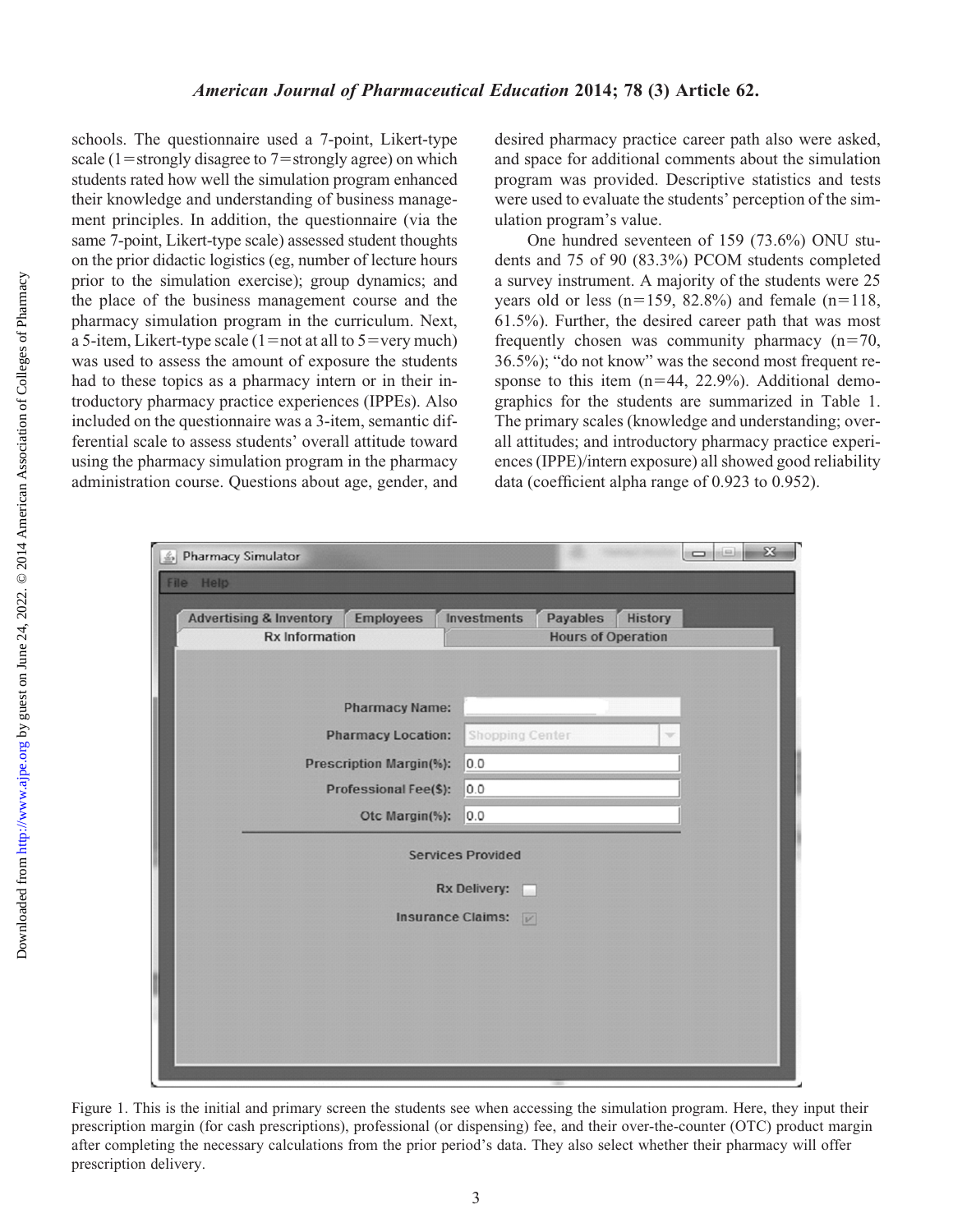schools. The questionnaire used a 7-point, Likert-type scale (1=strongly disagree to 7=strongly agree) on which students rated how well the simulation program enhanced their knowledge and understanding of business management principles. In addition, the questionnaire (via the same 7-point, Likert-type scale) assessed student thoughts on the prior didactic logistics (eg, number of lecture hours prior to the simulation exercise); group dynamics; and the place of the business management course and the pharmacy simulation program in the curriculum. Next, a 5-item, Likert-type scale  $(1=not at all to 5=very much)$ was used to assess the amount of exposure the students had to these topics as a pharmacy intern or in their introductory pharmacy practice experiences (IPPEs). Also included on the questionnaire was a 3-item, semantic differential scale to assess students' overall attitude toward using the pharmacy simulation program in the pharmacy administration course. Questions about age, gender, and desired pharmacy practice career path also were asked, and space for additional comments about the simulation program was provided. Descriptive statistics and tests were used to evaluate the students' perception of the simulation program's value.

One hundred seventeen of 159 (73.6%) ONU students and 75 of 90 (83.3%) PCOM students completed a survey instrument. A majority of the students were 25 years old or less (n=159, 82.8%) and female (n=118, 61.5%). Further, the desired career path that was most frequently chosen was community pharmacy  $(n=70,$ 36.5%); "do not know" was the second most frequent response to this item  $(n=44, 22.9%)$ . Additional demographics for the students are summarized in Table 1. The primary scales (knowledge and understanding; overall attitudes; and introductory pharmacy practice experiences (IPPE)/intern exposure) all showed good reliability data (coefficient alpha range of 0.923 to 0.952).

| <b>Advertising &amp; Inventory</b><br><b>Employees</b><br><b>Rx Information</b> | Investments<br><b>Payables</b><br><b>History</b><br><b>Hours of Operation</b> |
|---------------------------------------------------------------------------------|-------------------------------------------------------------------------------|
|                                                                                 |                                                                               |
| <b>Pharmacy Name:</b>                                                           |                                                                               |
| <b>Pharmacy Location:</b>                                                       | <b>Shopping Center</b><br>$\overline{\phantom{a}}$                            |
| <b>Prescription Margin(%):</b>                                                  | 0.0                                                                           |
| Professional Fee(\$):                                                           | 0.0                                                                           |
| Otc Margin(%):                                                                  | 0.0                                                                           |
|                                                                                 | <b>Services Provided</b>                                                      |
|                                                                                 | <b>Rx Delivery:</b><br>a a s                                                  |
|                                                                                 | <b>Insurance Claims:</b><br>V                                                 |
|                                                                                 |                                                                               |
|                                                                                 |                                                                               |
|                                                                                 |                                                                               |

Figure 1. This is the initial and primary screen the students see when accessing the simulation program. Here, they input their prescription margin (for cash prescriptions), professional (or dispensing) fee, and their over-the-counter (OTC) product margin after completing the necessary calculations from the prior period's data. They also select whether their pharmacy will offer prescription delivery.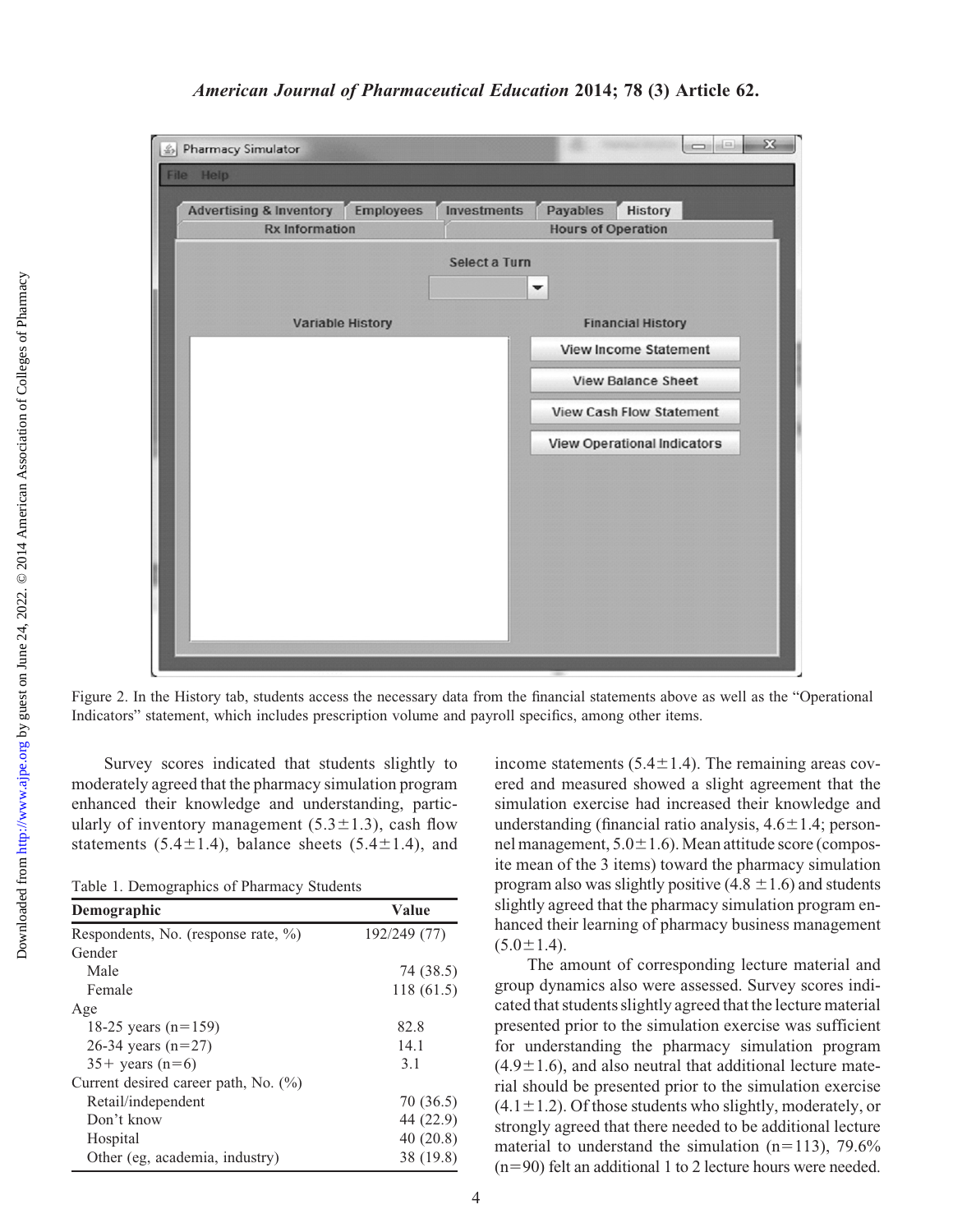

### American Journal of Pharmaceutical Education 2014; 78 (3) Article 62.

Figure 2. In the History tab, students access the necessary data from the financial statements above as well as the "Operational Indicators" statement, which includes prescription volume and payroll specifics, among other items.

Survey scores indicated that students slightly to moderately agreed that the pharmacy simulation program enhanced their knowledge and understanding, particularly of inventory management  $(5.3 \pm 1.3)$ , cash flow statements (5.4 $\pm$ 1.4), balance sheets (5.4 $\pm$ 1.4), and

Table 1. Demographics of Pharmacy Students

| Demographic                             | Value        |  |
|-----------------------------------------|--------------|--|
| Respondents, No. (response rate, %)     | 192/249 (77) |  |
| Gender                                  |              |  |
| Male                                    | 74 (38.5)    |  |
| Female                                  | 118(61.5)    |  |
| Age                                     |              |  |
| 18-25 years $(n=159)$                   | 82.8         |  |
| 26-34 years $(n=27)$                    | 14.1         |  |
| $35 + \text{ years}$ (n=6)              | 3.1          |  |
| Current desired career path, No. $(\%)$ |              |  |
| Retail/independent                      | 70 (36.5)    |  |
| Don't know                              | 44 (22.9)    |  |
| Hospital                                | 40(20.8)     |  |
| Other (eg, academia, industry)          | 38 (19.8)    |  |
|                                         |              |  |

income statements  $(5.4 \pm 1.4)$ . The remaining areas covered and measured showed a slight agreement that the simulation exercise had increased their knowledge and understanding (financial ratio analysis,  $4.6 \pm 1.4$ ; personnel management,  $5.0\pm1.6$ ). Mean attitude score (composite mean of the 3 items) toward the pharmacy simulation program also was slightly positive  $(4.8 \pm 1.6)$  and students slightly agreed that the pharmacy simulation program enhanced their learning of pharmacy business management  $(5.0 \pm 1.4).$ 

The amount of corresponding lecture material and group dynamics also were assessed. Survey scores indicated that students slightly agreed that the lecture material presented prior to the simulation exercise was sufficient for understanding the pharmacy simulation program  $(4.9\pm1.6)$ , and also neutral that additional lecture material should be presented prior to the simulation exercise  $(4.1 \pm 1.2)$ . Of those students who slightly, moderately, or strongly agreed that there needed to be additional lecture material to understand the simulation  $(n=113)$ , 79.6%  $(n=90)$  felt an additional 1 to 2 lecture hours were needed.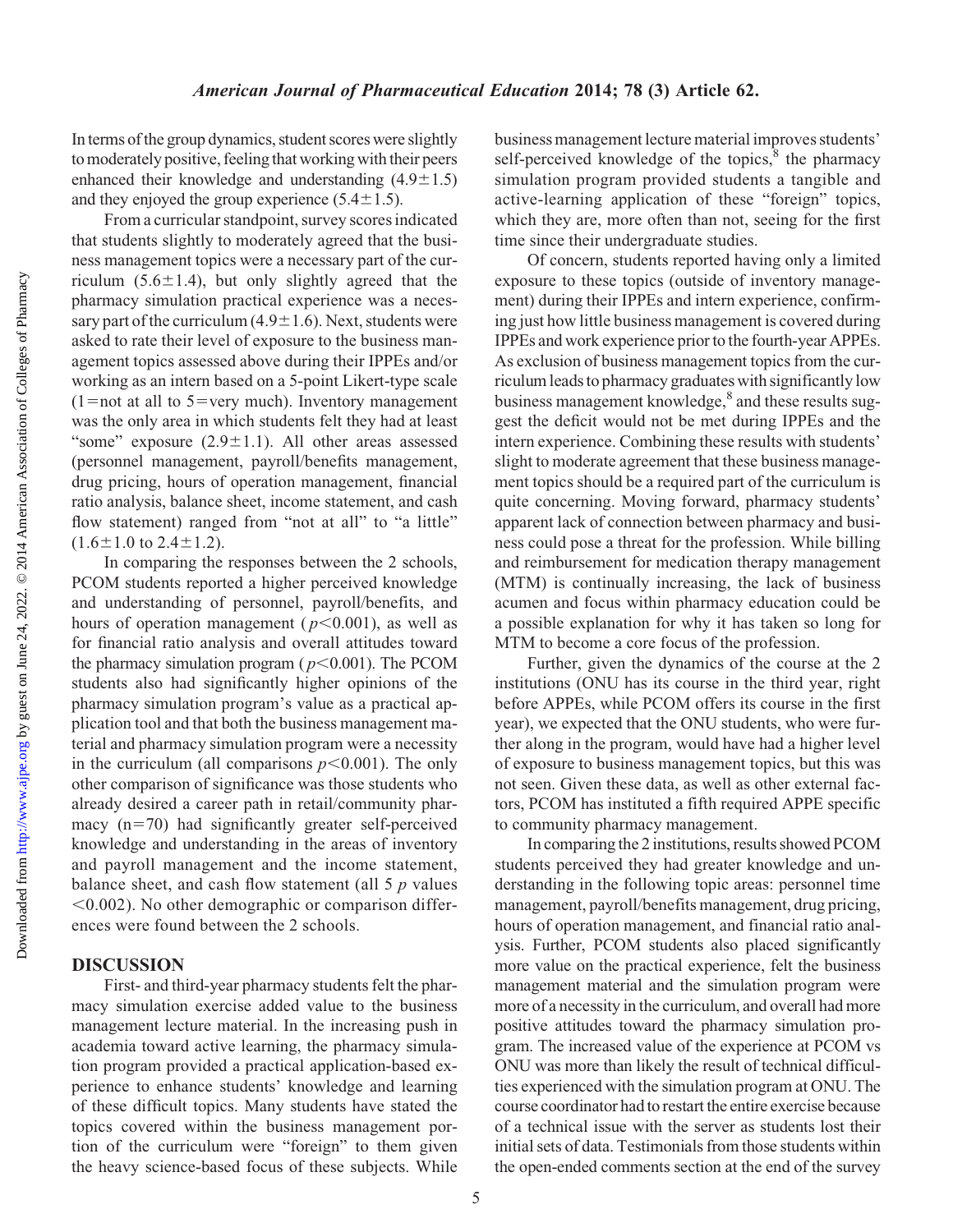In terms of the group dynamics, student scores were slightly to moderately positive, feeling that working with their peers enhanced their knowledge and understanding  $(4.9 \pm 1.5)$ and they enjoyed the group experience  $(5.4 \pm 1.5)$ .

From a curricular standpoint, survey scores indicated that students slightly to moderately agreed that the business management topics were a necessary part of the curriculum  $(5.6 \pm 1.4)$ , but only slightly agreed that the pharmacy simulation practical experience was a necessary part of the curriculum (4.9 $\pm$ 1.6). Next, students were asked to rate their level of exposure to the business management topics assessed above during their IPPEs and/or working as an intern based on a 5-point Likert-type scale  $(1=$ not at all to 5 = very much). Inventory management was the only area in which students felt they had at least "some" exposure  $(2.9 \pm 1.1)$ . All other areas assessed (personnel management, payroll/benefits management, drug pricing, hours of operation management, financial ratio analysis, balance sheet, income statement, and cash flow statement) ranged from "not at all" to "a little"  $(1.6 \pm 1.0 \text{ to } 2.4 \pm 1.2).$ 

In comparing the responses between the 2 schools, PCOM students reported a higher perceived knowledge and understanding of personnel, payroll/benefits, and hours of operation management ( $p<0.001$ ), as well as for financial ratio analysis and overall attitudes toward the pharmacy simulation program ( $p<0.001$ ). The PCOM students also had significantly higher opinions of the pharmacy simulation program's value as a practical application tool and that both the business management material and pharmacy simulation program were a necessity in the curriculum (all comparisons  $p<0.001$ ). The only other comparison of significance was those students who already desired a career path in retail/community pharmacy  $(n=70)$  had significantly greater self-perceived knowledge and understanding in the areas of inventory and payroll management and the income statement, balance sheet, and cash flow statement (all  $5 p$  values  $< 0.002$ ). No other demographic or comparison differences were found between the 2 schools.

#### DISCUSSION

First- and third-year pharmacy students felt the pharmacy simulation exercise added value to the business management lecture material. In the increasing push in academia toward active learning, the pharmacy simulation program provided a practical application-based experience to enhance students' knowledge and learning of these difficult topics. Many students have stated the topics covered within the business management portion of the curriculum were "foreign" to them given the heavy science-based focus of these subjects. While business management lecture material improves students' self-perceived knowledge of the topics, $\frac{8}{3}$  the pharmacy simulation program provided students a tangible and active-learning application of these "foreign" topics, which they are, more often than not, seeing for the first time since their undergraduate studies.

Of concern, students reported having only a limited exposure to these topics (outside of inventory management) during their IPPEs and intern experience, confirming just how little business management is covered during IPPEs and work experience prior to the fourth-year APPEs. As exclusion of business management topics from the curriculum leads to pharmacy graduates with significantlylow business management knowledge,<sup>8</sup> and these results suggest the deficit would not be met during IPPEs and the intern experience. Combining these results with students' slight to moderate agreement that these business management topics should be a required part of the curriculum is quite concerning. Moving forward, pharmacy students' apparent lack of connection between pharmacy and business could pose a threat for the profession. While billing and reimbursement for medication therapy management (MTM) is continually increasing, the lack of business acumen and focus within pharmacy education could be a possible explanation for why it has taken so long for MTM to become a core focus of the profession.

Further, given the dynamics of the course at the 2 institutions (ONU has its course in the third year, right before APPEs, while PCOM offers its course in the first year), we expected that the ONU students, who were further along in the program, would have had a higher level of exposure to business management topics, but this was not seen. Given these data, as well as other external factors, PCOM has instituted a fifth required APPE specific to community pharmacy management.

In comparing the 2 institutions, results showed PCOM students perceived they had greater knowledge and understanding in the following topic areas: personnel time management, payroll/benefits management, drug pricing, hours of operation management, and financial ratio analysis. Further, PCOM students also placed significantly more value on the practical experience, felt the business management material and the simulation program were more of a necessity in the curriculum, and overall had more positive attitudes toward the pharmacy simulation program. The increased value of the experience at PCOM vs ONU was more than likely the result of technical difficulties experienced with the simulation program at ONU. The course coordinator had to restart the entire exercise because of a technical issue with the server as students lost their initial sets of data. Testimonials from those students within the open-ended comments section at the end of the survey